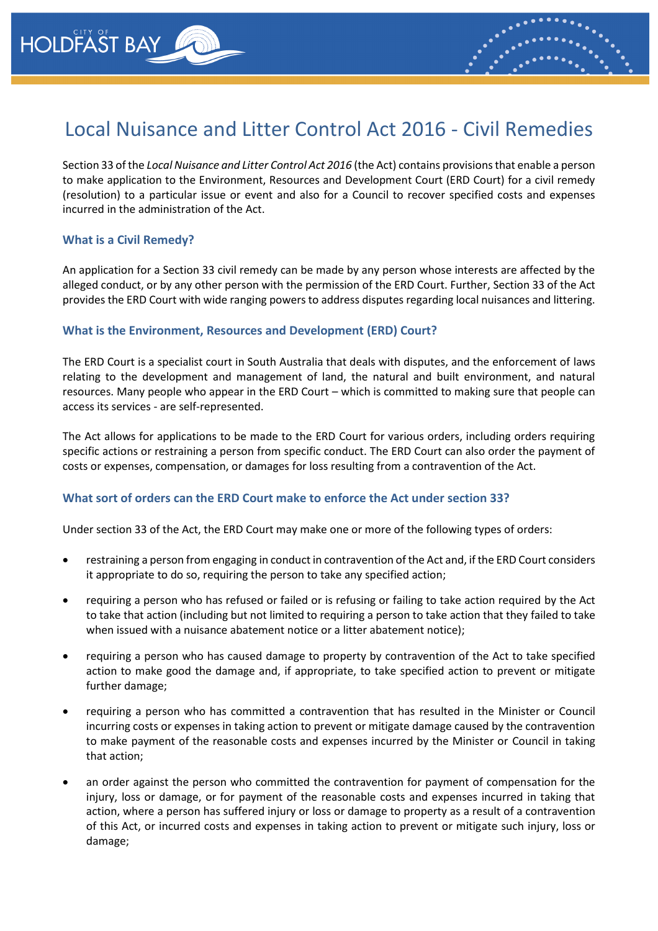# Local Nuisance and Litter Control Act 2016 - Civil Remedies

Section 33 of the *Local Nuisance and Litter Control Act 2016* (the Act) contains provisions that enable a person to make application to the Environment, Resources and Development Court (ERD Court) for a civil remedy (resolution) to a particular issue or event and also for a Council to recover specified costs and expenses incurred in the administration of the Act.

### **What is a Civil Remedy?**

HOLDFAST BAY

An application for a Section 33 civil remedy can be made by any person whose interests are affected by the alleged conduct, or by any other person with the permission of the ERD Court. Further, Section 33 of the Act provides the ERD Court with wide ranging powers to address disputes regarding local nuisances and littering.

#### **What is the Environment, Resources and Development (ERD) Court?**

The ERD Court is a specialist court in South Australia that deals with disputes, and the enforcement of laws relating to the development and management of land, the natural and built environment, and natural resources. Many people who appear in the ERD Court – which is committed to making sure that people can access its services - are self-represented.

The Act allows for applications to be made to the ERD Court for various orders, including orders requiring specific actions or restraining a person from specific conduct. The ERD Court can also order the payment of costs or expenses, compensation, or damages for loss resulting from a contravention of the Act.

#### **What sort of orders can the ERD Court make to enforce the Act under section 33?**

Under section 33 of the Act, the ERD Court may make one or more of the following types of orders:

- restraining a person from engaging in conduct in contravention of the Act and, if the ERD Court considers it appropriate to do so, requiring the person to take any specified action;
- requiring a person who has refused or failed or is refusing or failing to take action required by the Act to take that action (including but not limited to requiring a person to take action that they failed to take when issued with a nuisance abatement notice or a litter abatement notice);
- requiring a person who has caused damage to property by contravention of the Act to take specified action to make good the damage and, if appropriate, to take specified action to prevent or mitigate further damage;
- requiring a person who has committed a contravention that has resulted in the Minister or Council incurring costs or expenses in taking action to prevent or mitigate damage caused by the contravention to make payment of the reasonable costs and expenses incurred by the Minister or Council in taking that action;
- an order against the person who committed the contravention for payment of compensation for the injury, loss or damage, or for payment of the reasonable costs and expenses incurred in taking that action, where a person has suffered injury or loss or damage to property as a result of a contravention of this Act, or incurred costs and expenses in taking action to prevent or mitigate such injury, loss or damage;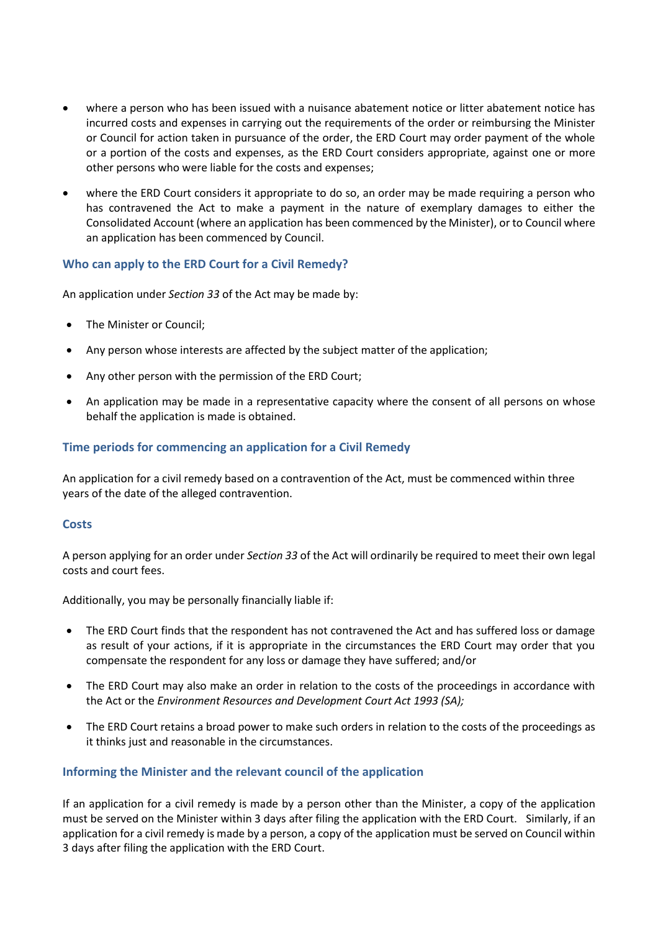- where a person who has been issued with a nuisance abatement notice or litter abatement notice has incurred costs and expenses in carrying out the requirements of the order or reimbursing the Minister or Council for action taken in pursuance of the order, the ERD Court may order payment of the whole or a portion of the costs and expenses, as the ERD Court considers appropriate, against one or more other persons who were liable for the costs and expenses;
- where the ERD Court considers it appropriate to do so, an order may be made requiring a person who has contravened the Act to make a payment in the nature of exemplary damages to either the Consolidated Account (where an application has been commenced by the Minister), or to Council where an application has been commenced by Council.

## **Who can apply to the ERD Court for a Civil Remedy?**

An application under *Section 33* of the Act may be made by:

- The Minister or Council;
- Any person whose interests are affected by the subject matter of the application;
- Any other person with the permission of the ERD Court;
- An application may be made in a representative capacity where the consent of all persons on whose behalf the application is made is obtained.

## **Time periods for commencing an application for a Civil Remedy**

An application for a civil remedy based on a contravention of the Act, must be commenced within three years of the date of the alleged contravention.

#### **Costs**

A person applying for an order under *Section 33* of the Act will ordinarily be required to meet their own legal costs and court fees.

Additionally, you may be personally financially liable if:

- The ERD Court finds that the respondent has not contravened the Act and has suffered loss or damage as result of your actions, if it is appropriate in the circumstances the ERD Court may order that you compensate the respondent for any loss or damage they have suffered; and/or
- The ERD Court may also make an order in relation to the costs of the proceedings in accordance with the Act or the *Environment Resources and Development Court Act 1993 (SA);*
- The ERD Court retains a broad power to make such orders in relation to the costs of the proceedings as it thinks just and reasonable in the circumstances.

## **Informing the Minister and the relevant council of the application**

If an application for a civil remedy is made by a person other than the Minister, a copy of the application must be served on the Minister within 3 days after filing the application with the ERD Court. Similarly, if an application for a civil remedy is made by a person, a copy of the application must be served on Council within 3 days after filing the application with the ERD Court.